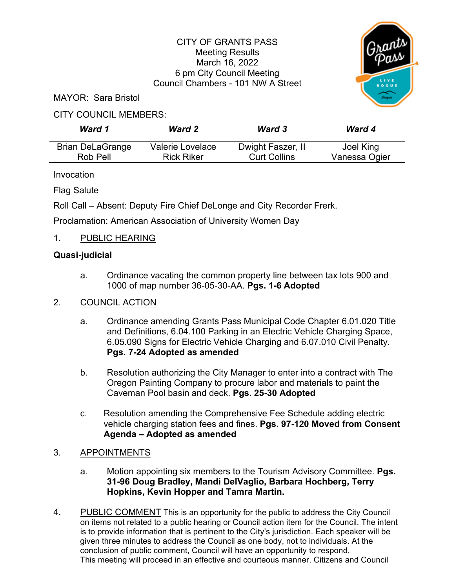## CITY OF GRANTS PASS Meeting Results March 16, 2022 6 pm City Council Meeting Council Chambers - 101 NW A Street



MAYOR: Sara Bristol

## CITY COUNCIL MEMBERS:

| Ward 1                  | <b>Ward 2</b>     | <b>Ward 3</b>       | <b>Ward 4</b> |
|-------------------------|-------------------|---------------------|---------------|
| <b>Brian DeLaGrange</b> | Valerie Lovelace  | Dwight Faszer, II   | Joel King     |
| Rob Pell                | <b>Rick Riker</b> | <b>Curt Collins</b> | Vanessa Ogier |

Invocation

Flag Salute

Roll Call – Absent: Deputy Fire Chief DeLonge and City Recorder Frerk.

Proclamation: American Association of University Women Day

## 1. PUBLIC HEARING

## **Quasi-judicial**

a. Ordinance vacating the common property line between tax lots 900 and 1000 of map number 36-05-30-AA. **Pgs. 1-6 Adopted**

# 2. COUNCIL ACTION

- a. Ordinance amending Grants Pass Municipal Code Chapter 6.01.020 Title and Definitions, 6.04.100 Parking in an Electric Vehicle Charging Space, 6.05.090 Signs for Electric Vehicle Charging and 6.07.010 Civil Penalty. **Pgs. 7-24 Adopted as amended**
- b. Resolution authorizing the City Manager to enter into a contract with The Oregon Painting Company to procure labor and materials to paint the Caveman Pool basin and deck. **Pgs. 25-30 Adopted**
- c. Resolution amending the Comprehensive Fee Schedule adding electric vehicle charging station fees and fines. **Pgs. 97-120 Moved from Consent Agenda – Adopted as amended**

## 3. APPOINTMENTS

- a. Motion appointing six members to the Tourism Advisory Committee. **Pgs. 31-96 Doug Bradley, Mandi DelVaglio, Barbara Hochberg, Terry Hopkins, Kevin Hopper and Tamra Martin.**
- 4. PUBLIC COMMENT This is an opportunity for the public to address the City Council on items not related to a public hearing or Council action item for the Council. The intent is to provide information that is pertinent to the City's jurisdiction. Each speaker will be given three minutes to address the Council as one body, not to individuals. At the conclusion of public comment, Council will have an opportunity to respond. This meeting will proceed in an effective and courteous manner. Citizens and Council